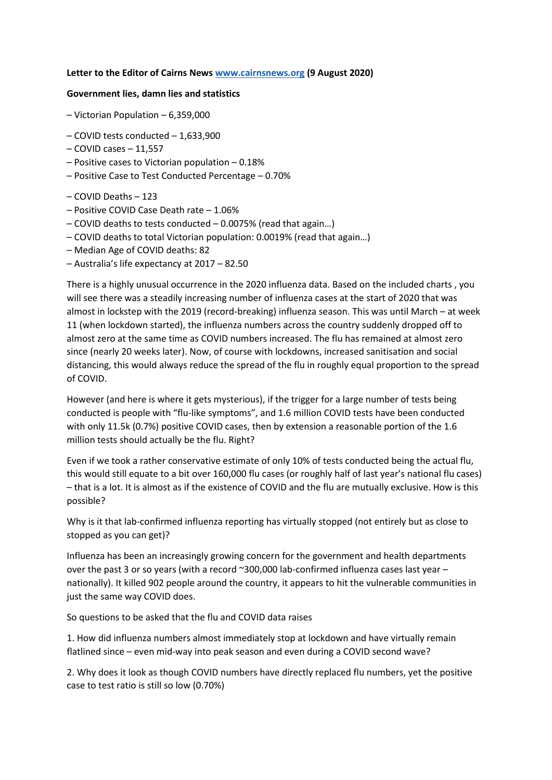## **Letter to the Editor of Cairns News [www.cairnsnews.org](http://www.cairnsnews.org/) (9 August 2020)**

## **Government lies, damn lies and statistics**

- Victorian Population 6,359,000
- COVID tests conducted 1,633,900
- COVID cases 11,557
- Positive cases to Victorian population 0.18%
- Positive Case to Test Conducted Percentage 0.70%
- COVID Deaths 123
- Positive COVID Case Death rate 1.06%
- COVID deaths to tests conducted 0.0075% (read that again…)
- COVID deaths to total Victorian population: 0.0019% (read that again…)
- Median Age of COVID deaths: 82
- Australia's life expectancy at 2017 82.50

There is a highly unusual occurrence in the 2020 influenza data. Based on the included charts , you will see there was a steadily increasing number of influenza cases at the start of 2020 that was almost in lockstep with the 2019 (record-breaking) influenza season. This was until March – at week 11 (when lockdown started), the influenza numbers across the country suddenly dropped off to almost zero at the same time as COVID numbers increased. The flu has remained at almost zero since (nearly 20 weeks later). Now, of course with lockdowns, increased sanitisation and social distancing, this would always reduce the spread of the flu in roughly equal proportion to the spread of COVID.

However (and here is where it gets mysterious), if the trigger for a large number of tests being conducted is people with "flu-like symptoms", and 1.6 million COVID tests have been conducted with only 11.5k (0.7%) positive COVID cases, then by extension a reasonable portion of the 1.6 million tests should actually be the flu. Right?

Even if we took a rather conservative estimate of only 10% of tests conducted being the actual flu, this would still equate to a bit over 160,000 flu cases (or roughly half of last year's national flu cases) – that is a lot. It is almost as if the existence of COVID and the flu are mutually exclusive. How is this possible?

Why is it that lab-confirmed influenza reporting has virtually stopped (not entirely but as close to stopped as you can get)?

Influenza has been an increasingly growing concern for the government and health departments over the past 3 or so years (with a record ~300,000 lab-confirmed influenza cases last year – nationally). It killed 902 people around the country, it appears to hit the vulnerable communities in just the same way COVID does.

So questions to be asked that the flu and COVID data raises

1. How did influenza numbers almost immediately stop at lockdown and have virtually remain flatlined since – even mid-way into peak season and even during a COVID second wave?

2. Why does it look as though COVID numbers have directly replaced flu numbers, yet the positive case to test ratio is still so low (0.70%)